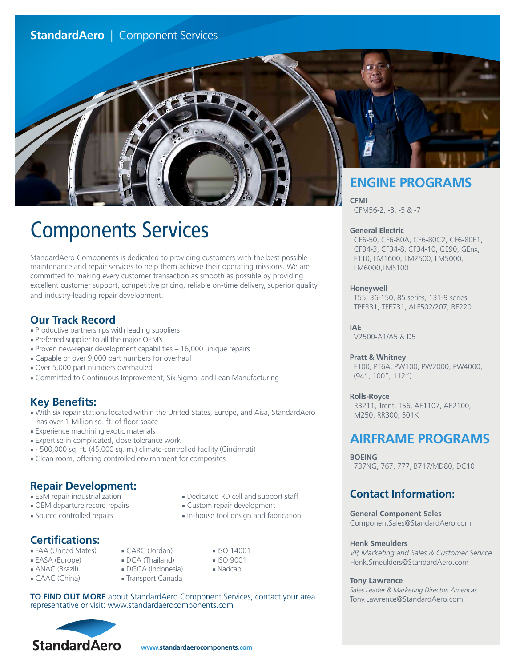# **StandardAero** | Component Services



# Components Services

StandardAero Components is dedicated to providing customers with the best possible maintenance and repair services to help them achieve their operating missions. We are committed to making every customer transaction as smooth as possible by providing excellent customer support, competitive pricing, reliable on-time delivery, superior quality and industry-leading repair development.

## **Our Track Record**

- Productive partnerships with leading suppliers
- Preferred supplier to all the major OEM's
- Proven new-repair development capabilities 16,000 unique repairs
- Capable of over 9,000 part numbers for overhaul
- Over 5,000 part numbers overhauled
- Committed to Continuous Improvement, Six Sigma, and Lean Manufacturing

## **Key Benefits:**

- With six repair stations located within the United States, Europe, and Aisa, StandardAero has over 1-Million sq. ft. of floor space
- Experience machining exotic materials
- Expertise in complicated, close tolerance work
- ~500,000 sq. ft. (45,000 sq. m.) climate-controlled facility (Cincinnati)
- Clean room, offering controlled environment for composites

# **Repair Development:**

- ESM repair industrialization Dedicated RD cell and support staff
- OEM departure record repairs Custom repair development
- 

# **Certifications:**

- FAA (United States) CARC (Jordan) ISO 14001
- 
- 
- CAAC (China) Transport Canada
- 
- 
- Source controlled repairs In-house tool design and fabrication
	-
- EASA (Europe) DCA (Thailand) ISO 9001
- ANAC (Brazil) DGCA (Indonesia) Nadcap
	-
- 

**TO FIND OUT MORE** about StandardAero Component Services, contact your area representative or visit: www.standardaerocomponents.com



CFM56-2, -3, -5 & -7

#### **General Electric**

 CF6-50, CF6-80A, CF6-80C2, CF6-80E1, CF34-3, CF34-8, CF34-10, GE90, GEnx, F110, LM1600, LM2500, LM5000, LM6000,LMS100

#### **Honeywell**

 T55, 36-150, 85 series, 131-9 series, TPE331, TFE731, ALF502/207, RE220

**IAE**

V2500-A1/A5 & D5

### **Pratt & Whitney**

 F100, PT6A, PW100, PW2000, PW4000, (94", 100", 112")

### **Rolls-Royce**

 RB211, Trent, T56, AE1107, AE2100, M250, RR300, 501K

# **AIRFRAME PROGRAMS**

**BOEING** 737NG, 767, 777, B717/MD80, DC10

# **Contact Information:**

**General Component Sales** ComponentSales@StandardAero.com

#### **Henk Smeulders**

*VP, Marketing and Sales & Customer Service* Henk.Smeulders@StandardAero.com

#### **Tony Lawrence**

*Sales Leader & Marketing Director, Americas* Tony.Lawrence@StandardAero.com